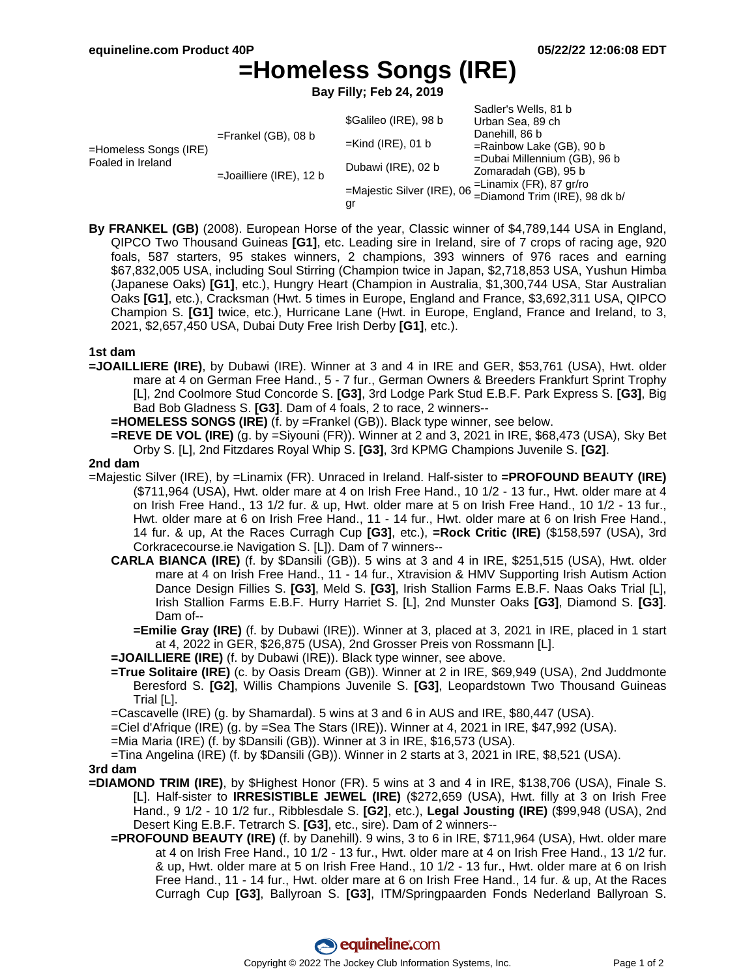# **=Homeless Songs (IRE)**

**Bay Filly; Feb 24, 2019**

|                                            |                            | \$Galileo (IRE), 98 b | Sadler's Wells, 81 b<br>Urban Sea, 89 ch                                              |
|--------------------------------------------|----------------------------|-----------------------|---------------------------------------------------------------------------------------|
| =Homeless Songs (IRE)<br>Foaled in Ireland | $=$ Frankel (GB), 08 b     |                       | Danehill, 86 b<br>$=$ Rainbow Lake (GB), 90 b<br>=Dubai Millennium (GB), 96 b         |
|                                            |                            | $=$ Kind (IRE), 01 b  |                                                                                       |
|                                            | $=$ Joailliere (IRE), 12 b | Dubawi (IRE), 02 b    |                                                                                       |
|                                            |                            |                       | Zomaradah (GB), 95 b                                                                  |
|                                            |                            |                       | =Majestic Silver (IRE), 06 = Linamix (FR), 87 gr/ro<br>= Diamond Trim (IRE), 98 dk b/ |
|                                            |                            | gr                    |                                                                                       |

**By FRANKEL (GB)** (2008). European Horse of the year, Classic winner of \$4,789,144 USA in England, QIPCO Two Thousand Guineas **[G1]**, etc. Leading sire in Ireland, sire of 7 crops of racing age, 920 foals, 587 starters, 95 stakes winners, 2 champions, 393 winners of 976 races and earning \$67,832,005 USA, including Soul Stirring (Champion twice in Japan, \$2,718,853 USA, Yushun Himba (Japanese Oaks) **[G1]**, etc.), Hungry Heart (Champion in Australia, \$1,300,744 USA, Star Australian Oaks **[G1]**, etc.), Cracksman (Hwt. 5 times in Europe, England and France, \$3,692,311 USA, QIPCO Champion S. **[G1]** twice, etc.), Hurricane Lane (Hwt. in Europe, England, France and Ireland, to 3, 2021, \$2,657,450 USA, Dubai Duty Free Irish Derby **[G1]**, etc.).

## **1st dam**

**=JOAILLIERE (IRE)**, by Dubawi (IRE). Winner at 3 and 4 in IRE and GER, \$53,761 (USA), Hwt. older mare at 4 on German Free Hand., 5 - 7 fur., German Owners & Breeders Frankfurt Sprint Trophy [L], 2nd Coolmore Stud Concorde S. **[G3]**, 3rd Lodge Park Stud E.B.F. Park Express S. **[G3]**, Big Bad Bob Gladness S. **[G3]**. Dam of 4 foals, 2 to race, 2 winners--

**=HOMELESS SONGS (IRE)** (f. by =Frankel (GB)). Black type winner, see below.

**=REVE DE VOL (IRE)** (g. by =Siyouni (FR)). Winner at 2 and 3, 2021 in IRE, \$68,473 (USA), Sky Bet Orby S. [L], 2nd Fitzdares Royal Whip S. **[G3]**, 3rd KPMG Champions Juvenile S. **[G2]**.

#### **2nd dam**

- =Majestic Silver (IRE), by =Linamix (FR). Unraced in Ireland. Half-sister to **=PROFOUND BEAUTY (IRE)** (\$711,964 (USA), Hwt. older mare at 4 on Irish Free Hand., 10 1/2 - 13 fur., Hwt. older mare at 4 on Irish Free Hand., 13 1/2 fur. & up, Hwt. older mare at 5 on Irish Free Hand., 10 1/2 - 13 fur., Hwt. older mare at 6 on Irish Free Hand., 11 - 14 fur., Hwt. older mare at 6 on Irish Free Hand., 14 fur. & up, At the Races Curragh Cup **[G3]**, etc.), **=Rock Critic (IRE)** (\$158,597 (USA), 3rd Corkracecourse.ie Navigation S. [L]). Dam of 7 winners--
	- **CARLA BIANCA (IRE)** (f. by \$Dansili (GB)). 5 wins at 3 and 4 in IRE, \$251,515 (USA), Hwt. older mare at 4 on Irish Free Hand., 11 - 14 fur., Xtravision & HMV Supporting Irish Autism Action Dance Design Fillies S. **[G3]**, Meld S. **[G3]**, Irish Stallion Farms E.B.F. Naas Oaks Trial [L], Irish Stallion Farms E.B.F. Hurry Harriet S. [L], 2nd Munster Oaks **[G3]**, Diamond S. **[G3]**. Dam of--
		- **=Emilie Gray (IRE)** (f. by Dubawi (IRE)). Winner at 3, placed at 3, 2021 in IRE, placed in 1 start at 4, 2022 in GER, \$26,875 (USA), 2nd Grosser Preis von Rossmann [L].

**=JOAILLIERE (IRE)** (f. by Dubawi (IRE)). Black type winner, see above.

**=True Solitaire (IRE)** (c. by Oasis Dream (GB)). Winner at 2 in IRE, \$69,949 (USA), 2nd Juddmonte Beresford S. **[G2]**, Willis Champions Juvenile S. **[G3]**, Leopardstown Two Thousand Guineas Trial [L].

=Cascavelle (IRE) (g. by Shamardal). 5 wins at 3 and 6 in AUS and IRE, \$80,447 (USA).

=Ciel d'Afrique (IRE) (g. by =Sea The Stars (IRE)). Winner at 4, 2021 in IRE, \$47,992 (USA).

=Mia Maria (IRE) (f. by \$Dansili (GB)). Winner at 3 in IRE, \$16,573 (USA).

=Tina Angelina (IRE) (f. by \$Dansili (GB)). Winner in 2 starts at 3, 2021 in IRE, \$8,521 (USA).

#### **3rd dam**

- **=DIAMOND TRIM (IRE)**, by \$Highest Honor (FR). 5 wins at 3 and 4 in IRE, \$138,706 (USA), Finale S. [L]. Half-sister to **IRRESISTIBLE JEWEL (IRE)** (\$272,659 (USA), Hwt. filly at 3 on Irish Free Hand., 9 1/2 - 10 1/2 fur., Ribblesdale S. **[G2]**, etc.), **Legal Jousting (IRE)** (\$99,948 (USA), 2nd Desert King E.B.F. Tetrarch S. **[G3]**, etc., sire). Dam of 2 winners--
	- **=PROFOUND BEAUTY (IRE)** (f. by Danehill). 9 wins, 3 to 6 in IRE, \$711,964 (USA), Hwt. older mare at 4 on Irish Free Hand., 10 1/2 - 13 fur., Hwt. older mare at 4 on Irish Free Hand., 13 1/2 fur. & up, Hwt. older mare at 5 on Irish Free Hand., 10 1/2 - 13 fur., Hwt. older mare at 6 on Irish Free Hand., 11 - 14 fur., Hwt. older mare at 6 on Irish Free Hand., 14 fur. & up, At the Races Curragh Cup **[G3]**, Ballyroan S. **[G3]**, ITM/Springpaarden Fonds Nederland Ballyroan S.